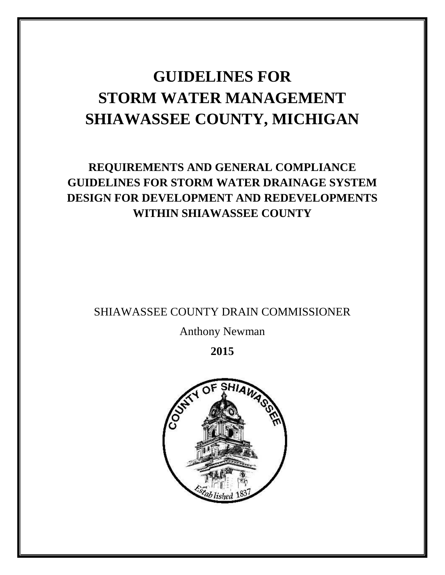# **GUIDELINES FOR STORM WATER MANAGEMENT SHIAWASSEE COUNTY, MICHIGAN**

## **REQUIREMENTS AND GENERAL COMPLIANCE GUIDELINES FOR STORM WATER DRAINAGE SYSTEM DESIGN FOR DEVELOPMENT AND REDEVELOPMENTS WITHIN SHIAWASSEE COUNTY**

SHIAWASSEE COUNTY DRAIN COMMISSIONER

Anthony Newman

**2015**

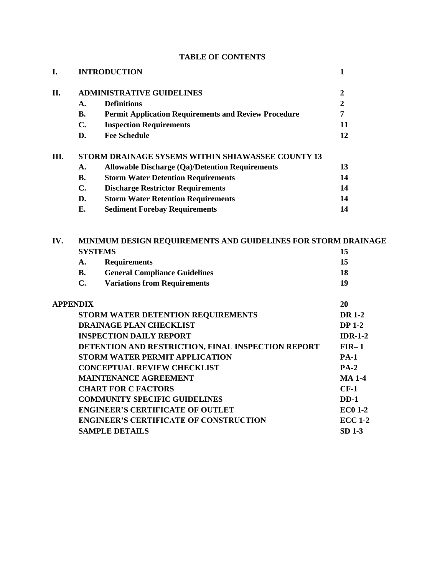| I.   |                                                                                       | <b>INTRODUCTION</b>                                         | $\mathbf{1}$     |  |  |
|------|---------------------------------------------------------------------------------------|-------------------------------------------------------------|------------------|--|--|
| II.  | <b>ADMINISTRATIVE GUIDELINES</b>                                                      |                                                             | $\boldsymbol{2}$ |  |  |
|      | A.                                                                                    | <b>Definitions</b>                                          | $\overline{2}$   |  |  |
|      | <b>B.</b>                                                                             | <b>Permit Application Requirements and Review Procedure</b> | $\overline{7}$   |  |  |
|      | $C_{\bullet}$                                                                         | <b>Inspection Requirements</b>                              | 11               |  |  |
|      | D.                                                                                    | <b>Fee Schedule</b>                                         | 12               |  |  |
| III. |                                                                                       | STORM DRAINAGE SYSEMS WITHIN SHIAWASSEE COUNTY 13           |                  |  |  |
|      | A.                                                                                    | <b>Allowable Discharge (Qa)/Detention Requirements</b>      | 13               |  |  |
|      | <b>B.</b>                                                                             | <b>Storm Water Detention Requirements</b>                   | 14               |  |  |
|      | C.                                                                                    | <b>Discharge Restrictor Requirements</b>                    | 14               |  |  |
|      | D.                                                                                    | <b>Storm Water Retention Requirements</b>                   | 14               |  |  |
|      | E.                                                                                    | <b>Sediment Forebay Requirements</b>                        | 14               |  |  |
| IV.  | MINIMUM DESIGN REQUIREMENTS AND GUIDELINES FOR STORM DRAINAGE<br><b>SYSTEMS</b><br>15 |                                                             |                  |  |  |
|      | A.                                                                                    | <b>Requirements</b>                                         | 15               |  |  |
|      | <b>B.</b>                                                                             | <b>General Compliance Guidelines</b>                        | 18               |  |  |
|      | $C_{\bullet}$                                                                         | <b>Variations from Requirements</b>                         | 19               |  |  |
|      | <b>APPENDIX</b>                                                                       |                                                             | 20               |  |  |
|      |                                                                                       | STORM WATER DETENTION REQUIREMENTS                          | <b>DR 1-2</b>    |  |  |
|      | <b>DRAINAGE PLAN CHECKLIST</b>                                                        | <b>DP 1-2</b>                                               |                  |  |  |
|      | <b>INSPECTION DAILY REPORT</b>                                                        | $IDR-1-2$                                                   |                  |  |  |
|      |                                                                                       | DETENTION AND RESTRICTION, FINAL INSPECTION REPORT          | $FIR-1$          |  |  |
|      | <b>STORM WATER PERMIT APPLICATION</b>                                                 |                                                             | <b>PA-1</b>      |  |  |
|      | <b>CONCEPTUAL REVIEW CHECKLIST</b>                                                    |                                                             | $PA-2$           |  |  |
|      |                                                                                       | <b>MAINTENANCE AGREEMENT</b>                                | <b>MA 1-4</b>    |  |  |
|      | <b>CHART FOR C FACTORS</b>                                                            |                                                             | $CF-1$           |  |  |
|      | <b>COMMUNITY SPECIFIC GUIDELINES</b>                                                  |                                                             | $DD-1$           |  |  |
|      |                                                                                       | <b>ENGINEER'S CERTIFICATE OF OUTLET</b>                     | <b>EC0 1-2</b>   |  |  |
|      |                                                                                       | <b>ENGINEER'S CERTIFICATE OF CONSTRUCTION</b>               | <b>ECC 1-2</b>   |  |  |
|      | <b>SAMPLE DETAILS</b>                                                                 |                                                             | SD 1-3           |  |  |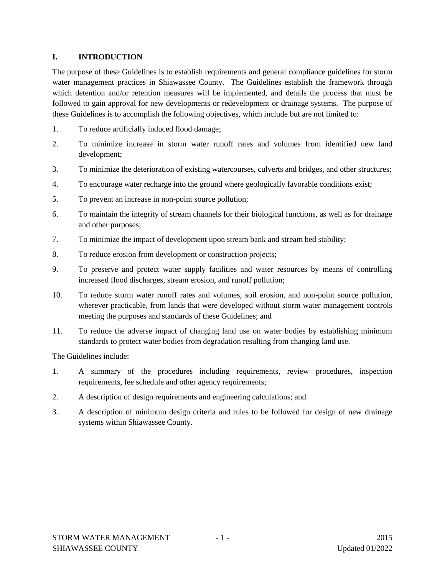#### **I. INTRODUCTION**

The purpose of these Guidelines is to establish requirements and general compliance guidelines for storm water management practices in Shiawassee County. The Guidelines establish the framework through which detention and/or retention measures will be implemented, and details the process that must be followed to gain approval for new developments or redevelopment or drainage systems. The purpose of these Guidelines is to accomplish the following objectives, which include but are not limited to:

- 1. To reduce artificially induced flood damage;
- 2. To minimize increase in storm water runoff rates and volumes from identified new land development;
- 3. To minimize the deterioration of existing watercourses, culverts and bridges, and other structures;
- 4. To encourage water recharge into the ground where geologically favorable conditions exist;
- 5. To prevent an increase in non-point source pollution;
- 6. To maintain the integrity of stream channels for their biological functions, as well as for drainage and other purposes;
- 7. To minimize the impact of development upon stream bank and stream bed stability;
- 8. To reduce erosion from development or construction projects;
- 9. To preserve and protect water supply facilities and water resources by means of controlling increased flood discharges, stream erosion, and runoff pollution;
- 10. To reduce storm water runoff rates and volumes, soil erosion, and non-point source pollution, wherever practicable, from lands that were developed without storm water management controls meeting the purposes and standards of these Guidelines; and
- 11. To reduce the adverse impact of changing land use on water bodies by establishing minimum standards to protect water bodies from degradation resulting from changing land use.

The Guidelines include:

- 1. A summary of the procedures including requirements, review procedures, inspection requirements, fee schedule and other agency requirements;
- 2. A description of design requirements and engineering calculations; and
- 3. A description of minimum design criteria and rules to be followed for design of new drainage systems within Shiawassee County.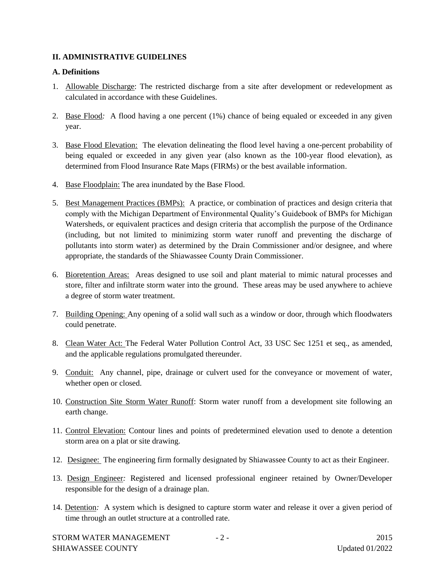#### **II. ADMINISTRATIVE GUIDELINES**

#### **A. Definitions**

- 1. Allowable Discharge: The restricted discharge from a site after development or redevelopment as calculated in accordance with these Guidelines.
- 2. Base Flood*:* A flood having a one percent (1%) chance of being equaled or exceeded in any given year.
- 3. Base Flood Elevation: The elevation delineating the flood level having a one-percent probability of being equaled or exceeded in any given year (also known as the 100-year flood elevation), as determined from Flood Insurance Rate Maps (FIRMs) or the best available information.
- 4. Base Floodplain: The area inundated by the Base Flood.
- 5. Best Management Practices (BMPs): A practice, or combination of practices and design criteria that comply with the Michigan Department of Environmental Quality's Guidebook of BMPs for Michigan Watersheds, or equivalent practices and design criteria that accomplish the purpose of the Ordinance (including, but not limited to minimizing storm water runoff and preventing the discharge of pollutants into storm water) as determined by the Drain Commissioner and/or designee, and where appropriate, the standards of the Shiawassee County Drain Commissioner.
- 6. Bioretention Areas: Areas designed to use soil and plant material to mimic natural processes and store, filter and infiltrate storm water into the ground. These areas may be used anywhere to achieve a degree of storm water treatment.
- 7. Building Opening: Any opening of a solid wall such as a window or door, through which floodwaters could penetrate.
- 8. Clean Water Act: The Federal Water Pollution Control Act, 33 USC Sec 1251 et seq., as amended, and the applicable regulations promulgated thereunder.
- 9. Conduit: Any channel, pipe, drainage or culvert used for the conveyance or movement of water, whether open or closed.
- 10. Construction Site Storm Water Runoff: Storm water runoff from a development site following an earth change.
- 11. Control Elevation: Contour lines and points of predetermined elevation used to denote a detention storm area on a plat or site drawing.
- 12. Designee: The engineering firm formally designated by Shiawassee County to act as their Engineer.
- 13. Design Engineer*:* Registered and licensed professional engineer retained by Owner/Developer responsible for the design of a drainage plan.
- 14. Detention*:* A system which is designed to capture storm water and release it over a given period of time through an outlet structure at a controlled rate.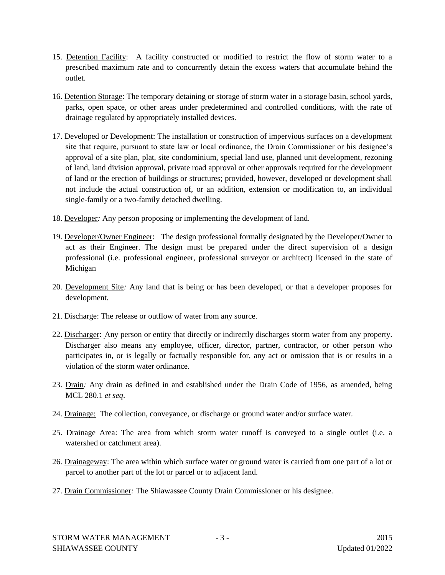- 15. Detention Facility: A facility constructed or modified to restrict the flow of storm water to a prescribed maximum rate and to concurrently detain the excess waters that accumulate behind the outlet.
- 16. Detention Storage: The temporary detaining or storage of storm water in a storage basin, school yards, parks, open space, or other areas under predetermined and controlled conditions, with the rate of drainage regulated by appropriately installed devices.
- 17. Developed or Development: The installation or construction of impervious surfaces on a development site that require, pursuant to state law or local ordinance, the Drain Commissioner or his designee's approval of a site plan, plat, site condominium, special land use, planned unit development, rezoning of land, land division approval, private road approval or other approvals required for the development of land or the erection of buildings or structures; provided, however, developed or development shall not include the actual construction of, or an addition, extension or modification to, an individual single-family or a two-family detached dwelling.
- 18. Developer*:* Any person proposing or implementing the development of land.
- 19. Developer/Owner Engineer: The design professional formally designated by the Developer/Owner to act as their Engineer. The design must be prepared under the direct supervision of a design professional (i.e. professional engineer, professional surveyor or architect) licensed in the state of Michigan
- 20. Development Site*:* Any land that is being or has been developed, or that a developer proposes for development.
- 21. Discharge: The release or outflow of water from any source.
- 22. Discharger: Any person or entity that directly or indirectly discharges storm water from any property. Discharger also means any employee, officer, director, partner, contractor, or other person who participates in, or is legally or factually responsible for, any act or omission that is or results in a violation of the storm water ordinance.
- 23. Drain*:* Any drain as defined in and established under the Drain Code of 1956, as amended, being MCL 280.1 *et seq*.
- 24. Drainage: The collection, conveyance, or discharge or ground water and/or surface water.
- 25. Drainage Area: The area from which storm water runoff is conveyed to a single outlet (i.e. a watershed or catchment area).
- 26. Drainageway: The area within which surface water or ground water is carried from one part of a lot or parcel to another part of the lot or parcel or to adjacent land.
- 27. Drain Commissioner*:* The Shiawassee County Drain Commissioner or his designee.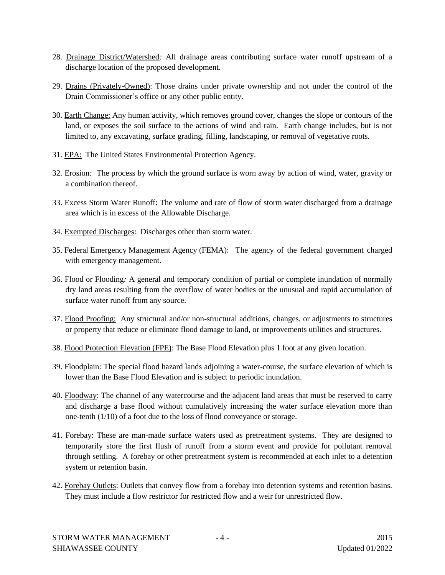- 28. Drainage District/Watershed*:* All drainage areas contributing surface water runoff upstream of a discharge location of the proposed development.
- 29. Drains (Privately-Owned): Those drains under private ownership and not under the control of the Drain Commissioner's office or any other public entity.
- 30. Earth Change: Any human activity, which removes ground cover, changes the slope or contours of the land, or exposes the soil surface to the actions of wind and rain. Earth change includes, but is not limited to, any excavating, surface grading, filling, landscaping, or removal of vegetative roots.
- 31. EPA: The United States Environmental Protection Agency.
- 32. Erosion*:* The process by which the ground surface is worn away by action of wind, water, gravity or a combination thereof.
- 33. Excess Storm Water Runoff: The volume and rate of flow of storm water discharged from a drainage area which is in excess of the Allowable Discharge.
- 34. Exempted Discharges: Discharges other than storm water.
- 35. Federal Emergency Management Agency (FEMA): The agency of the federal government charged with emergency management.
- 36. Flood or Flooding*:* A general and temporary condition of partial or complete inundation of normally dry land areas resulting from the overflow of water bodies or the unusual and rapid accumulation of surface water runoff from any source.
- 37. Flood Proofing: Any structural and/or non-structural additions, changes, or adjustments to structures or property that reduce or eliminate flood damage to land, or improvements utilities and structures.
- 38. Flood Protection Elevation (FPE): The Base Flood Elevation plus 1 foot at any given location.
- 39. Floodplain: The special flood hazard lands adjoining a water-course, the surface elevation of which is lower than the Base Flood Elevation and is subject to periodic inundation.
- 40. Floodway: The channel of any watercourse and the adjacent land areas that must be reserved to carry and discharge a base flood without cumulatively increasing the water surface elevation more than one-tenth (1/10) of a foot due to the loss of flood conveyance or storage.
- 41. Forebay: These are man-made surface waters used as pretreatment systems. They are designed to temporarily store the first flush of runoff from a storm event and provide for pollutant removal through settling. A forebay or other pretreatment system is recommended at each inlet to a detention system or retention basin.
- 42. Forebay Outlets: Outlets that convey flow from a forebay into detention systems and retention basins. They must include a flow restrictor for restricted flow and a weir for unrestricted flow.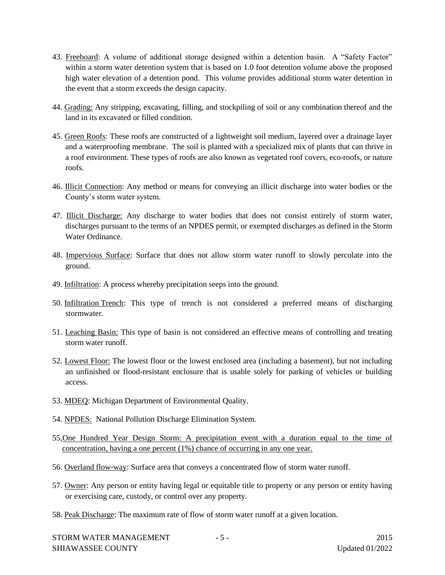- 43. Freeboard: A volume of additional storage designed within a detention basin. A "Safety Factor" within a storm water detention system that is based on 1.0 foot detention volume above the proposed high water elevation of a detention pond. This volume provides additional storm water detention in the event that a storm exceeds the design capacity.
- 44. Grading: Any stripping, excavating, filling, and stockpiling of soil or any combination thereof and the land in its excavated or filled condition.
- 45. Green Roofs: These roofs are constructed of a lightweight soil medium, layered over a drainage layer and a waterproofing membrane. The soil is planted with a specialized mix of plants that can thrive in a roof environment. These types of roofs are also known as vegetated roof covers, eco-roofs, or nature roofs.
- 46. Illicit Connection: Any method or means for conveying an illicit discharge into water bodies or the County's storm water system.
- 47. Illicit Discharge: Any discharge to water bodies that does not consist entirely of storm water, discharges pursuant to the terms of an NPDES permit, or exempted discharges as defined in the Storm Water Ordinance.
- 48. Impervious Surface: Surface that does not allow storm water runoff to slowly percolate into the ground.
- 49. Infiltration: A process whereby precipitation seeps into the ground*.*
- 50. Infiltration Trench: This type of trench is not considered a preferred means of discharging stormwater.
- 51. Leaching Basin: This type of basin is not considered an effective means of controlling and treating storm water runoff.
- 52. Lowest Floor: The lowest floor or the lowest enclosed area (including a basement), but not including an unfinished or flood-resistant enclosure that is usable solely for parking of vehicles or building access.
- 53. MDEQ: Michigan Department of Environmental Quality.
- 54. NPDES: National Pollution Discharge Elimination System.
- 55,One Hundred Year Design Storm: A precipitation event with a duration equal to the time of concentration, having a one percent (1%) chance of occurring in any one year.
- 56. Overland flow-way: Surface area that conveys a concentrated flow of storm water runoff.
- 57. Owner: Any person or entity having legal or equitable title to property or any person or entity having or exercising care, custody, or control over any property.
- 58. Peak Discharge: The maximum rate of flow of storm water runoff at a given location.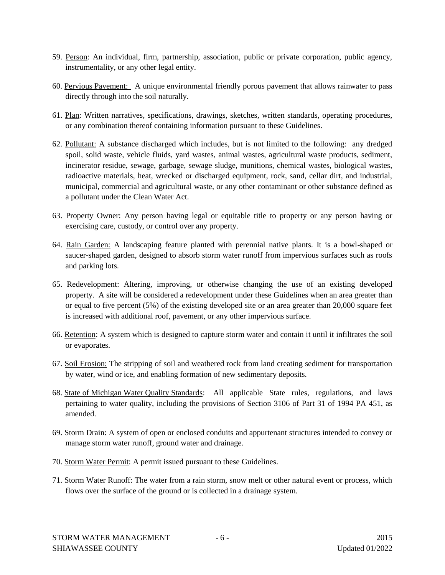- 59. Person: An individual, firm, partnership, association, public or private corporation, public agency, instrumentality, or any other legal entity.
- 60. Pervious Pavement: A unique environmental friendly porous pavement that allows rainwater to pass directly through into the soil naturally.
- 61. Plan: Written narratives, specifications, drawings, sketches, written standards, operating procedures, or any combination thereof containing information pursuant to these Guidelines.
- 62. Pollutant: A substance discharged which includes, but is not limited to the following: any dredged spoil, solid waste, vehicle fluids, yard wastes, animal wastes, agricultural waste products, sediment, incinerator residue, sewage, garbage, sewage sludge, munitions, chemical wastes, biological wastes, radioactive materials, heat, wrecked or discharged equipment, rock, sand, cellar dirt, and industrial, municipal, commercial and agricultural waste, or any other contaminant or other substance defined as a pollutant under the Clean Water Act.
- 63. Property Owner: Any person having legal or equitable title to property or any person having or exercising care, custody, or control over any property.
- 64. Rain Garden: A landscaping feature planted with perennial native plants. It is a bowl-shaped or saucer-shaped garden, designed to absorb storm water runoff from impervious surfaces such as roofs and parking lots.
- 65. Redevelopment: Altering, improving, or otherwise changing the use of an existing developed property. A site will be considered a redevelopment under these Guidelines when an area greater than or equal to five percent (5%) of the existing developed site or an area greater than 20,000 square feet is increased with additional roof, pavement, or any other impervious surface.
- 66. Retention: A system which is designed to capture storm water and contain it until it infiltrates the soil or evaporates.
- 67. Soil Erosion: The stripping of soil and weathered rock from land creating sediment for transportation by water, wind or ice, and enabling formation of new sedimentary deposits.
- 68. State of Michigan Water Quality Standards: All applicable State rules, regulations, and laws pertaining to water quality, including the provisions of Section 3106 of Part 31 of 1994 PA 451, as amended.
- 69. Storm Drain: A system of open or enclosed conduits and appurtenant structures intended to convey or manage storm water runoff, ground water and drainage.
- 70. Storm Water Permit: A permit issued pursuant to these Guidelines.
- 71. Storm Water Runoff: The water from a rain storm, snow melt or other natural event or process, which flows over the surface of the ground or is collected in a drainage system.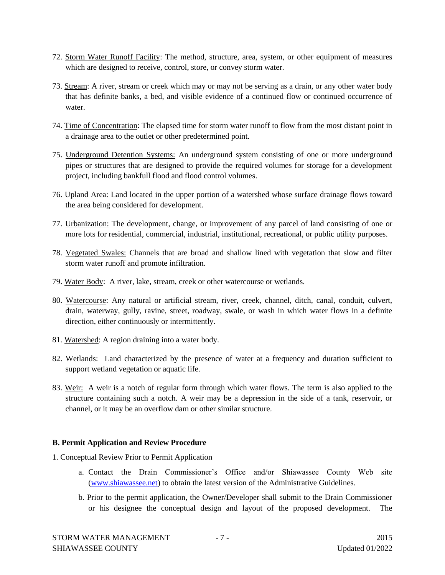- 72. Storm Water Runoff Facility: The method, structure, area, system, or other equipment of measures which are designed to receive, control, store, or convey storm water.
- 73. Stream: A river, stream or creek which may or may not be serving as a drain, or any other water body that has definite banks, a bed, and visible evidence of a continued flow or continued occurrence of water.
- 74. Time of Concentration: The elapsed time for storm water runoff to flow from the most distant point in a drainage area to the outlet or other predetermined point.
- 75. Underground Detention Systems: An underground system consisting of one or more underground pipes or structures that are designed to provide the required volumes for storage for a development project, including bankfull flood and flood control volumes.
- 76. Upland Area: Land located in the upper portion of a watershed whose surface drainage flows toward the area being considered for development.
- 77. Urbanization: The development, change, or improvement of any parcel of land consisting of one or more lots for residential, commercial, industrial, institutional, recreational, or public utility purposes.
- 78. Vegetated Swales: Channels that are broad and shallow lined with vegetation that slow and filter storm water runoff and promote infiltration.
- 79. Water Body: A river, lake, stream, creek or other watercourse or wetlands.
- 80. Watercourse: Any natural or artificial stream, river, creek, channel, ditch, canal, conduit, culvert, drain, waterway, gully, ravine, street, roadway, swale, or wash in which water flows in a definite direction, either continuously or intermittently.
- 81. Watershed: A region draining into a water body.
- 82. Wetlands: Land characterized by the presence of water at a frequency and duration sufficient to support wetland vegetation or aquatic life.
- 83. Weir: A weir is a notch of regular form through which water flows. The term is also applied to the structure containing such a notch. A weir may be a depression in the side of a tank, reservoir, or channel, or it may be an overflow dam or other similar structure.

#### **B. Permit Application and Review Procedure**

- 1. Conceptual Review Prior to Permit Application
	- a. Contact the Drain Commissioner's Office and/or Shiawassee County Web site (www.shiawassee.net) to obtain the latest version of the Administrative Guidelines.
	- b. Prior to the permit application, the Owner/Developer shall submit to the Drain Commissioner or his designee the conceptual design and layout of the proposed development. The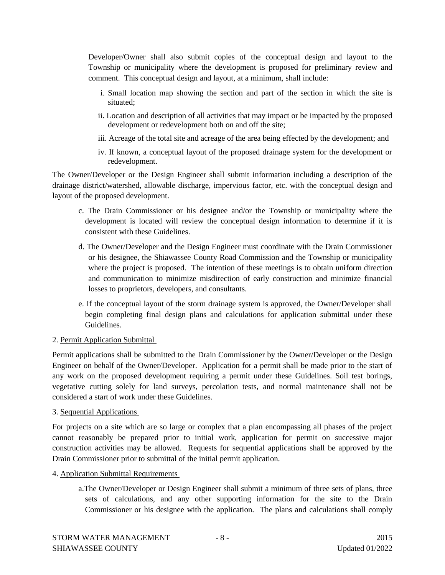Developer/Owner shall also submit copies of the conceptual design and layout to the Township or municipality where the development is proposed for preliminary review and comment. This conceptual design and layout, at a minimum, shall include:

- i. Small location map showing the section and part of the section in which the site is situated;
- ii. Location and description of all activities that may impact or be impacted by the proposed development or redevelopment both on and off the site;
- iii. Acreage of the total site and acreage of the area being effected by the development; and
- iv. If known, a conceptual layout of the proposed drainage system for the development or redevelopment.

The Owner/Developer or the Design Engineer shall submit information including a description of the drainage district/watershed, allowable discharge, impervious factor, etc. with the conceptual design and layout of the proposed development.

- c. The Drain Commissioner or his designee and/or the Township or municipality where the development is located will review the conceptual design information to determine if it is consistent with these Guidelines.
- d. The Owner/Developer and the Design Engineer must coordinate with the Drain Commissioner or his designee, the Shiawassee County Road Commission and the Township or municipality where the project is proposed. The intention of these meetings is to obtain uniform direction and communication to minimize misdirection of early construction and minimize financial losses to proprietors, developers, and consultants.
- e. If the conceptual layout of the storm drainage system is approved, the Owner/Developer shall begin completing final design plans and calculations for application submittal under these Guidelines.

#### 2. Permit Application Submittal

Permit applications shall be submitted to the Drain Commissioner by the Owner/Developer or the Design Engineer on behalf of the Owner/Developer. Application for a permit shall be made prior to the start of any work on the proposed development requiring a permit under these Guidelines. Soil test borings, vegetative cutting solely for land surveys, percolation tests, and normal maintenance shall not be considered a start of work under these Guidelines.

#### 3. Sequential Applications

For projects on a site which are so large or complex that a plan encompassing all phases of the project cannot reasonably be prepared prior to initial work, application for permit on successive major construction activities may be allowed. Requests for sequential applications shall be approved by the Drain Commissioner prior to submittal of the initial permit application.

- 4. Application Submittal Requirements
	- a.The Owner/Developer or Design Engineer shall submit a minimum of three sets of plans, three sets of calculations, and any other supporting information for the site to the Drain Commissioner or his designee with the application. The plans and calculations shall comply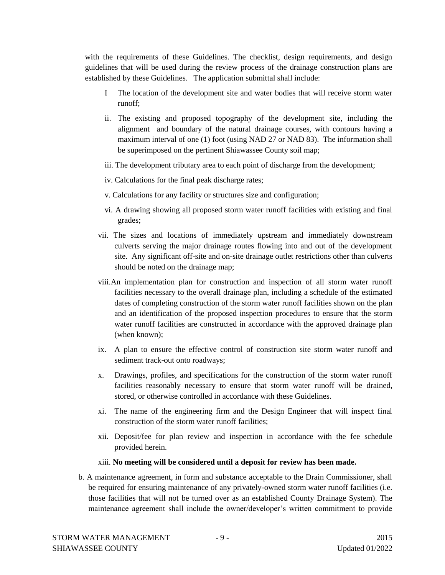with the requirements of these Guidelines. The checklist, design requirements, and design guidelines that will be used during the review process of the drainage construction plans are established by these Guidelines. The application submittal shall include:

- I The location of the development site and water bodies that will receive storm water runoff;
- ii. The existing and proposed topography of the development site, including the alignment and boundary of the natural drainage courses, with contours having a maximum interval of one (1) foot (using NAD 27 or NAD 83). The information shall be superimposed on the pertinent Shiawassee County soil map;
- iii. The development tributary area to each point of discharge from the development;
- iv. Calculations for the final peak discharge rates;
- v. Calculations for any facility or structures size and configuration;
- vi. A drawing showing all proposed storm water runoff facilities with existing and final grades;
- vii. The sizes and locations of immediately upstream and immediately downstream culverts serving the major drainage routes flowing into and out of the development site. Any significant off-site and on-site drainage outlet restrictions other than culverts should be noted on the drainage map;
- viii.An implementation plan for construction and inspection of all storm water runoff facilities necessary to the overall drainage plan, including a schedule of the estimated dates of completing construction of the storm water runoff facilities shown on the plan and an identification of the proposed inspection procedures to ensure that the storm water runoff facilities are constructed in accordance with the approved drainage plan (when known);
- ix. A plan to ensure the effective control of construction site storm water runoff and sediment track-out onto roadways;
- x. Drawings, profiles, and specifications for the construction of the storm water runoff facilities reasonably necessary to ensure that storm water runoff will be drained, stored, or otherwise controlled in accordance with these Guidelines.
- xi. The name of the engineering firm and the Design Engineer that will inspect final construction of the storm water runoff facilities;
- xii. Deposit/fee for plan review and inspection in accordance with the fee schedule provided herein.
- xiii. **No meeting will be considered until a deposit for review has been made.**
- b. A maintenance agreement, in form and substance acceptable to the Drain Commissioner, shall be required for ensuring maintenance of any privately-owned storm water runoff facilities (i.e. those facilities that will not be turned over as an established County Drainage System). The maintenance agreement shall include the owner/developer's written commitment to provide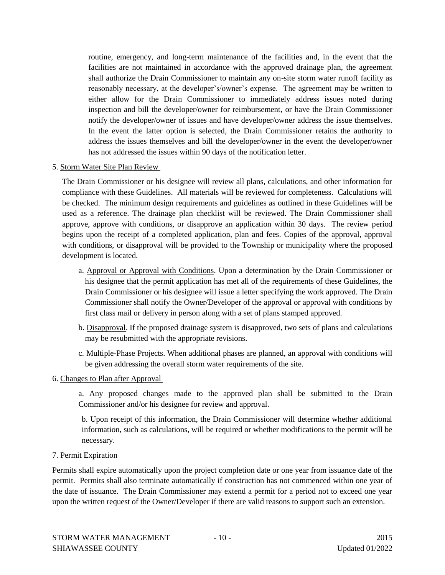routine, emergency, and long-term maintenance of the facilities and, in the event that the facilities are not maintained in accordance with the approved drainage plan, the agreement shall authorize the Drain Commissioner to maintain any on-site storm water runoff facility as reasonably necessary, at the developer's/owner's expense. The agreement may be written to either allow for the Drain Commissioner to immediately address issues noted during inspection and bill the developer/owner for reimbursement, or have the Drain Commissioner notify the developer/owner of issues and have developer/owner address the issue themselves. In the event the latter option is selected, the Drain Commissioner retains the authority to address the issues themselves and bill the developer/owner in the event the developer/owner has not addressed the issues within 90 days of the notification letter.

#### 5. Storm Water Site Plan Review

The Drain Commissioner or his designee will review all plans, calculations, and other information for compliance with these Guidelines. All materials will be reviewed for completeness. Calculations will be checked. The minimum design requirements and guidelines as outlined in these Guidelines will be used as a reference. The drainage plan checklist will be reviewed. The Drain Commissioner shall approve, approve with conditions, or disapprove an application within 30 days. The review period begins upon the receipt of a completed application, plan and fees. Copies of the approval, approval with conditions, or disapproval will be provided to the Township or municipality where the proposed development is located.

- a. Approval or Approval with Conditions. Upon a determination by the Drain Commissioner or his designee that the permit application has met all of the requirements of these Guidelines, the Drain Commissioner or his designee will issue a letter specifying the work approved. The Drain Commissioner shall notify the Owner/Developer of the approval or approval with conditions by first class mail or delivery in person along with a set of plans stamped approved.
- b. Disapproval. If the proposed drainage system is disapproved, two sets of plans and calculations may be resubmitted with the appropriate revisions.
- c. Multiple-Phase Projects. When additional phases are planned, an approval with conditions will be given addressing the overall storm water requirements of the site.
- 6. Changes to Plan after Approval

a. Any proposed changes made to the approved plan shall be submitted to the Drain Commissioner and/or his designee for review and approval.

b. Upon receipt of this information, the Drain Commissioner will determine whether additional information, such as calculations, will be required or whether modifications to the permit will be necessary.

7. Permit Expiration

Permits shall expire automatically upon the project completion date or one year from issuance date of the permit. Permits shall also terminate automatically if construction has not commenced within one year of the date of issuance. The Drain Commissioner may extend a permit for a period not to exceed one year upon the written request of the Owner/Developer if there are valid reasons to support such an extension.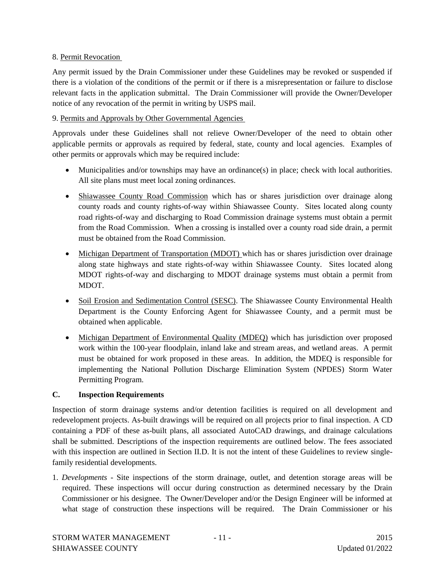#### 8. Permit Revocation

Any permit issued by the Drain Commissioner under these Guidelines may be revoked or suspended if there is a violation of the conditions of the permit or if there is a misrepresentation or failure to disclose relevant facts in the application submittal. The Drain Commissioner will provide the Owner/Developer notice of any revocation of the permit in writing by USPS mail.

#### 9. Permits and Approvals by Other Governmental Agencies

Approvals under these Guidelines shall not relieve Owner/Developer of the need to obtain other applicable permits or approvals as required by federal, state, county and local agencies. Examples of other permits or approvals which may be required include:

- Municipalities and/or townships may have an ordinance(s) in place; check with local authorities. All site plans must meet local zoning ordinances.
- Shiawassee County Road Commission which has or shares jurisdiction over drainage along county roads and county rights-of-way within Shiawassee County. Sites located along county road rights-of-way and discharging to Road Commission drainage systems must obtain a permit from the Road Commission. When a crossing is installed over a county road side drain, a permit must be obtained from the Road Commission.
- Michigan Department of Transportation (MDOT) which has or shares jurisdiction over drainage along state highways and state rights-of-way within Shiawassee County. Sites located along MDOT rights-of-way and discharging to MDOT drainage systems must obtain a permit from MDOT.
- Soil Erosion and Sedimentation Control (SESC). The Shiawassee County Environmental Health Department is the County Enforcing Agent for Shiawassee County, and a permit must be obtained when applicable.
- Michigan Department of Environmental Quality (MDEQ) which has jurisdiction over proposed work within the 100-year floodplain, inland lake and stream areas, and wetland areas. A permit must be obtained for work proposed in these areas. In addition, the MDEQ is responsible for implementing the National Pollution Discharge Elimination System (NPDES) Storm Water Permitting Program.

#### **C. Inspection Requirements**

Inspection of storm drainage systems and/or detention facilities is required on all development and redevelopment projects. As-built drawings will be required on all projects prior to final inspection. A CD containing a PDF of these as-built plans, all associated AutoCAD drawings, and drainage calculations shall be submitted. Descriptions of the inspection requirements are outlined below. The fees associated with this inspection are outlined in Section II.D. It is not the intent of these Guidelines to review singlefamily residential developments.

1. *Developments* - Site inspections of the storm drainage, outlet, and detention storage areas will be required. These inspections will occur during construction as determined necessary by the Drain Commissioner or his designee. The Owner/Developer and/or the Design Engineer will be informed at what stage of construction these inspections will be required. The Drain Commissioner or his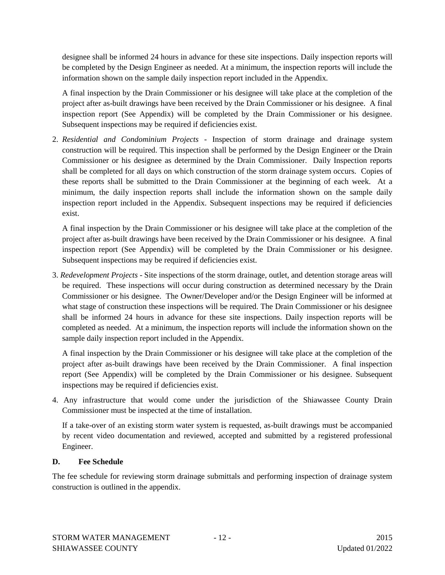designee shall be informed 24 hours in advance for these site inspections. Daily inspection reports will be completed by the Design Engineer as needed. At a minimum, the inspection reports will include the information shown on the sample daily inspection report included in the Appendix.

A final inspection by the Drain Commissioner or his designee will take place at the completion of the project after as-built drawings have been received by the Drain Commissioner or his designee. A final inspection report (See Appendix) will be completed by the Drain Commissioner or his designee. Subsequent inspections may be required if deficiencies exist.

2. *Residential and Condominium Projects* - Inspection of storm drainage and drainage system construction will be required. This inspection shall be performed by the Design Engineer or the Drain Commissioner or his designee as determined by the Drain Commissioner. Daily Inspection reports shall be completed for all days on which construction of the storm drainage system occurs. Copies of these reports shall be submitted to the Drain Commissioner at the beginning of each week. At a minimum, the daily inspection reports shall include the information shown on the sample daily inspection report included in the Appendix. Subsequent inspections may be required if deficiencies exist.

A final inspection by the Drain Commissioner or his designee will take place at the completion of the project after as-built drawings have been received by the Drain Commissioner or his designee. A final inspection report (See Appendix) will be completed by the Drain Commissioner or his designee. Subsequent inspections may be required if deficiencies exist.

3. *Redevelopment Projects* - Site inspections of the storm drainage, outlet, and detention storage areas will be required. These inspections will occur during construction as determined necessary by the Drain Commissioner or his designee. The Owner/Developer and/or the Design Engineer will be informed at what stage of construction these inspections will be required. The Drain Commissioner or his designee shall be informed 24 hours in advance for these site inspections. Daily inspection reports will be completed as needed. At a minimum, the inspection reports will include the information shown on the sample daily inspection report included in the Appendix.

A final inspection by the Drain Commissioner or his designee will take place at the completion of the project after as-built drawings have been received by the Drain Commissioner. A final inspection report (See Appendix) will be completed by the Drain Commissioner or his designee. Subsequent inspections may be required if deficiencies exist.

4. Any infrastructure that would come under the jurisdiction of the Shiawassee County Drain Commissioner must be inspected at the time of installation.

If a take-over of an existing storm water system is requested, as-built drawings must be accompanied by recent video documentation and reviewed, accepted and submitted by a registered professional Engineer.

#### **D. Fee Schedule**

The fee schedule for reviewing storm drainage submittals and performing inspection of drainage system construction is outlined in the appendix.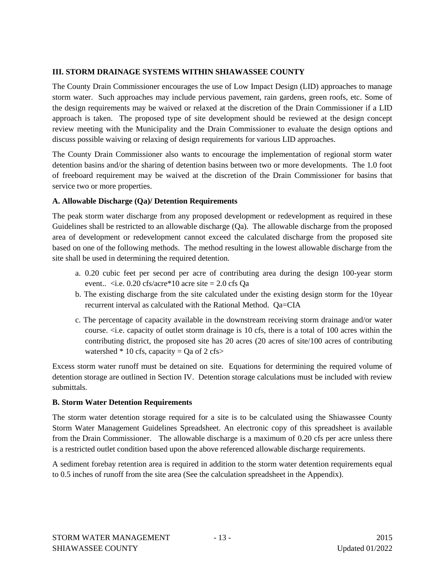#### **III. STORM DRAINAGE SYSTEMS WITHIN SHIAWASSEE COUNTY**

The County Drain Commissioner encourages the use of Low Impact Design (LID) approaches to manage storm water. Such approaches may include pervious pavement, rain gardens, green roofs, etc. Some of the design requirements may be waived or relaxed at the discretion of the Drain Commissioner if a LID approach is taken. The proposed type of site development should be reviewed at the design concept review meeting with the Municipality and the Drain Commissioner to evaluate the design options and discuss possible waiving or relaxing of design requirements for various LID approaches.

The County Drain Commissioner also wants to encourage the implementation of regional storm water detention basins and/or the sharing of detention basins between two or more developments. The 1.0 foot of freeboard requirement may be waived at the discretion of the Drain Commissioner for basins that service two or more properties.

#### **A. Allowable Discharge (Qa)/ Detention Requirements**

The peak storm water discharge from any proposed development or redevelopment as required in these Guidelines shall be restricted to an allowable discharge (Qa). The allowable discharge from the proposed area of development or redevelopment cannot exceed the calculated discharge from the proposed site based on one of the following methods. The method resulting in the lowest allowable discharge from the site shall be used in determining the required detention.

- a. 0.20 cubic feet per second per acre of contributing area during the design 100-year storm event..  $\langle$ i.e. 0.20 cfs/acre\*10 acre site = 2.0 cfs Qa
- b. The existing discharge from the site calculated under the existing design storm for the 10year recurrent interval as calculated with the Rational Method. Qa=CIA
- c. The percentage of capacity available in the downstream receiving storm drainage and/or water course. <i.e. capacity of outlet storm drainage is 10 cfs, there is a total of 100 acres within the contributing district, the proposed site has 20 acres (20 acres of site/100 acres of contributing watershed  $*$  10 cfs, capacity = Qa of 2 cfs>

Excess storm water runoff must be detained on site. Equations for determining the required volume of detention storage are outlined in Section IV. Detention storage calculations must be included with review submittals.

#### **B. Storm Water Detention Requirements**

The storm water detention storage required for a site is to be calculated using the Shiawassee County Storm Water Management Guidelines Spreadsheet. An electronic copy of this spreadsheet is available from the Drain Commissioner. The allowable discharge is a maximum of 0.20 cfs per acre unless there is a restricted outlet condition based upon the above referenced allowable discharge requirements.

A sediment forebay retention area is required in addition to the storm water detention requirements equal to 0.5 inches of runoff from the site area (See the calculation spreadsheet in the Appendix).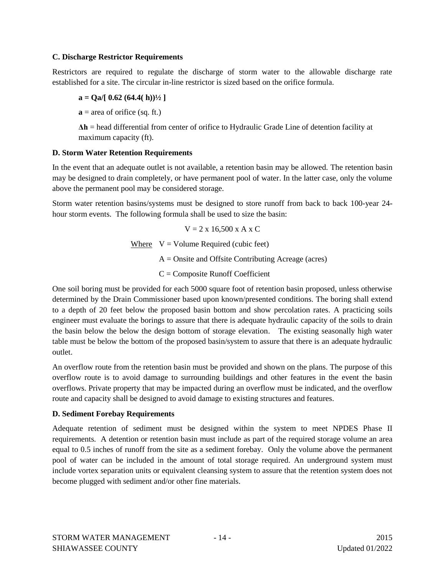#### **C. Discharge Restrictor Requirements**

Restrictors are required to regulate the discharge of storm water to the allowable discharge rate established for a site. The circular in-line restrictor is sized based on the orifice formula.

$$
a = Qa/[ 0.62 (64.4(h))^{1/2}]
$$

 $\mathbf{a}$  = area of orifice (sq. ft.)

**Δh** = head differential from center of orifice to Hydraulic Grade Line of detention facility at maximum capacity (ft).

#### **D. Storm Water Retention Requirements**

In the event that an adequate outlet is not available, a retention basin may be allowed. The retention basin may be designed to drain completely, or have permanent pool of water. In the latter case, only the volume above the permanent pool may be considered storage.

Storm water retention basins/systems must be designed to store runoff from back to back 100-year 24 hour storm events. The following formula shall be used to size the basin:

 $V = 2 \times 16,500 \times A \times C$ 

Where  $V = Volume Required (cubic feet)$ 

 $A =$ Onsite and Offsite Contributing Acreage (acres)

 $C =$  Composite Runoff Coefficient

One soil boring must be provided for each 5000 square foot of retention basin proposed, unless otherwise determined by the Drain Commissioner based upon known/presented conditions. The boring shall extend to a depth of 20 feet below the proposed basin bottom and show percolation rates. A practicing soils engineer must evaluate the borings to assure that there is adequate hydraulic capacity of the soils to drain the basin below the below the design bottom of storage elevation. The existing seasonally high water table must be below the bottom of the proposed basin/system to assure that there is an adequate hydraulic outlet.

An overflow route from the retention basin must be provided and shown on the plans. The purpose of this overflow route is to avoid damage to surrounding buildings and other features in the event the basin overflows. Private property that may be impacted during an overflow must be indicated, and the overflow route and capacity shall be designed to avoid damage to existing structures and features.

#### **D. Sediment Forebay Requirements**

Adequate retention of sediment must be designed within the system to meet NPDES Phase II requirements. A detention or retention basin must include as part of the required storage volume an area equal to 0.5 inches of runoff from the site as a sediment forebay. Only the volume above the permanent pool of water can be included in the amount of total storage required. An underground system must include vortex separation units or equivalent cleansing system to assure that the retention system does not become plugged with sediment and/or other fine materials.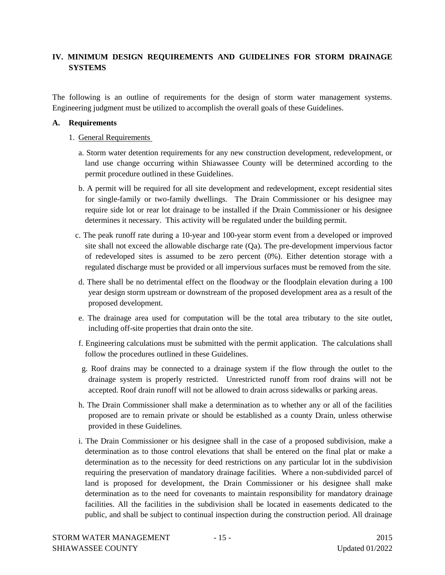#### **IV. MINIMUM DESIGN REQUIREMENTS AND GUIDELINES FOR STORM DRAINAGE SYSTEMS**

The following is an outline of requirements for the design of storm water management systems. Engineering judgment must be utilized to accomplish the overall goals of these Guidelines.

#### **A. Requirements**

- 1. General Requirements
	- a. Storm water detention requirements for any new construction development, redevelopment, or land use change occurring within Shiawassee County will be determined according to the permit procedure outlined in these Guidelines.
	- b. A permit will be required for all site development and redevelopment, except residential sites for single-family or two-family dwellings. The Drain Commissioner or his designee may require side lot or rear lot drainage to be installed if the Drain Commissioner or his designee determines it necessary. This activity will be regulated under the building permit.
	- c. The peak runoff rate during a 10-year and 100-year storm event from a developed or improved site shall not exceed the allowable discharge rate  $(Qa)$ . The pre-development impervious factor of redeveloped sites is assumed to be zero percent  $(0\%)$ . Either detention storage with a regulated discharge must be provided or all impervious surfaces must be removed from the site.
	- d. There shall be no detrimental effect on the floodway or the floodplain elevation during a 100 year design storm upstream or downstream of the proposed development area as a result of the proposed development.
	- e. The drainage area used for computation will be the total area tributary to the site outlet, including off-site properties that drain onto the site.
	- f. Engineering calculations must be submitted with the permit application. The calculations shall follow the procedures outlined in these Guidelines.
	- g. Roof drains may be connected to a drainage system if the flow through the outlet to the drainage system is properly restricted. Unrestricted runoff from roof drains will not be accepted. Roof drain runoff will not be allowed to drain across sidewalks or parking areas.
	- h. The Drain Commissioner shall make a determination as to whether any or all of the facilities proposed are to remain private or should be established as a county Drain, unless otherwise provided in these Guidelines.
	- i. The Drain Commissioner or his designee shall in the case of a proposed subdivision, make a determination as to those control elevations that shall be entered on the final plat or make a determination as to the necessity for deed restrictions on any particular lot in the subdivision requiring the preservation of mandatory drainage facilities. Where a non-subdivided parcel of land is proposed for development, the Drain Commissioner or his designee shall make determination as to the need for covenants to maintain responsibility for mandatory drainage facilities. All the facilities in the subdivision shall be located in easements dedicated to the public, and shall be subject to continual inspection during the construction period. All drainage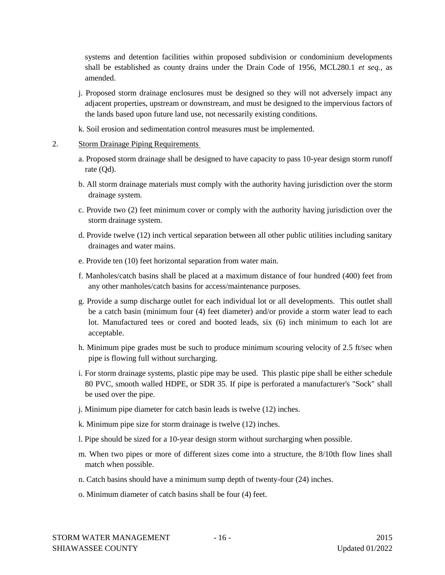systems and detention facilities within proposed subdivision or condominium developments shall be established as county drains under the Drain Code of 1956, MCL280.1 *et seq.,* as amended.

- j. Proposed storm drainage enclosures must be designed so they will not adversely impact any adjacent properties, upstream or downstream, and must be designed to the impervious factors of the lands based upon future land use, not necessarily existing conditions.
- k. Soil erosion and sedimentation control measures must be implemented.
- 2. Storm Drainage Piping Requirements
	- a. Proposed storm drainage shall be designed to have capacity to pass 10-year design storm runoff rate (Qd).
	- b. All storm drainage materials must comply with the authority having jurisdiction over the storm drainage system.
	- c. Provide two (2) feet minimum cover or comply with the authority having jurisdiction over the storm drainage system.
	- d. Provide twelve (12) inch vertical separation between all other public utilities including sanitary drainages and water mains.
	- e. Provide ten (10) feet horizontal separation from water main.
	- f. Manholes/catch basins shall be placed at a maximum distance of four hundred (400) feet from any other manholes/catch basins for access/maintenance purposes.
	- g. Provide a sump discharge outlet for each individual lot or all developments. This outlet shall be a catch basin (minimum four (4) feet diameter) and/or provide a storm water lead to each lot. Manufactured tees or cored and booted leads, six (6) inch minimum to each lot are acceptable.
	- h. Minimum pipe grades must be such to produce minimum scouring velocity of 2.5 ft/sec when pipe is flowing full without surcharging.
	- i. For storm drainage systems, plastic pipe may be used. This plastic pipe shall be either schedule 80 PVC, smooth walled HDPE, or SDR 35. If pipe is perforated a manufacturer's "Sock" shall be used over the pipe.
	- j. Minimum pipe diameter for catch basin leads is twelve (12) inches.
	- k. Minimum pipe size for storm drainage is twelve (12) inches.
	- l. Pipe should be sized for a 10-year design storm without surcharging when possible.
	- m. When two pipes or more of different sizes come into a structure, the 8/10th flow lines shall match when possible.
	- n. Catch basins should have a minimum sump depth of twenty-four (24) inches.
	- o. Minimum diameter of catch basins shall be four (4) feet.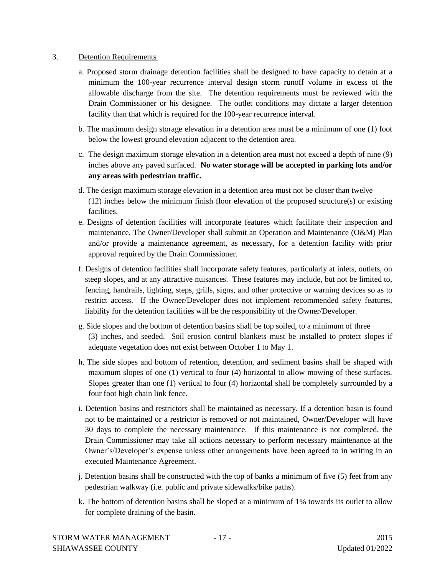#### 3. Detention Requirements

- a. Proposed storm drainage detention facilities shall be designed to have capacity to detain at a minimum the 100-year recurrence interval design storm runoff volume in excess of the allowable discharge from the site. The detention requirements must be reviewed with the Drain Commissioner or his designee. The outlet conditions may dictate a larger detention facility than that which is required for the 100-year recurrence interval.
- b. The maximum design storage elevation in a detention area must be a minimum of one (1) foot below the lowest ground elevation adjacent to the detention area.
- c. The design maximum storage elevation in a detention area must not exceed a depth of nine (9) inches above any paved surfaced. **No water storage will be accepted in parking lots and/or any areas with pedestrian traffic.**
- d. The design maximum storage elevation in a detention area must not be closer than twelve (12) inches below the minimum finish floor elevation of the proposed structure(s) or existing facilities.
- e. Designs of detention facilities will incorporate features which facilitate their inspection and maintenance. The Owner/Developer shall submit an Operation and Maintenance (O&M) Plan and/or provide a maintenance agreement, as necessary, for a detention facility with prior approval required by the Drain Commissioner.
- f. Designs of detention facilities shall incorporate safety features, particularly at inlets, outlets, on steep slopes, and at any attractive nuisances. These features may include, but not be limited to, fencing, handrails, lighting, steps, grills, signs, and other protective or warning devices so as to restrict access. If the Owner/Developer does not implement recommended safety features, liability for the detention facilities will be the responsibility of the Owner/Developer.
- g. Side slopes and the bottom of detention basins shall be top soiled, to a minimum of three (3) inches, and seeded. Soil erosion control blankets must be installed to protect slopes if adequate vegetation does not exist between October 1 to May 1.
- h. The side slopes and bottom of retention, detention, and sediment basins shall be shaped with maximum slopes of one (1) vertical to four (4) horizontal to allow mowing of these surfaces. Slopes greater than one (1) vertical to four (4) horizontal shall be completely surrounded by a four foot high chain link fence.
- i. Detention basins and restrictors shall be maintained as necessary. If a detention basin is found not to be maintained or a restrictor is removed or not maintained, Owner/Developer will have 30 days to complete the necessary maintenance. If this maintenance is not completed, the Drain Commissioner may take all actions necessary to perform necessary maintenance at the Owner's/Developer's expense unless other arrangements have been agreed to in writing in an executed Maintenance Agreement.
- j. Detention basins shall be constructed with the top of banks a minimum of five (5) feet from any pedestrian walkway (i.e. public and private sidewalks/bike paths).
- k. The bottom of detention basins shall be sloped at a minimum of 1% towards its outlet to allow for complete draining of the basin.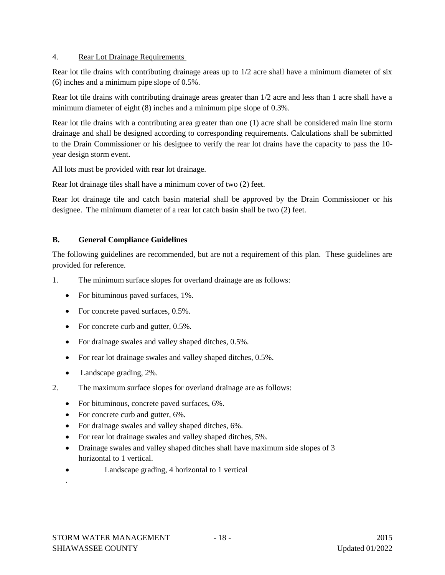#### 4. Rear Lot Drainage Requirements

Rear lot tile drains with contributing drainage areas up to 1/2 acre shall have a minimum diameter of six (6) inches and a minimum pipe slope of 0.5%.

Rear lot tile drains with contributing drainage areas greater than 1/2 acre and less than 1 acre shall have a minimum diameter of eight (8) inches and a minimum pipe slope of 0.3%.

Rear lot tile drains with a contributing area greater than one (1) acre shall be considered main line storm drainage and shall be designed according to corresponding requirements. Calculations shall be submitted to the Drain Commissioner or his designee to verify the rear lot drains have the capacity to pass the 10 year design storm event.

All lots must be provided with rear lot drainage.

Rear lot drainage tiles shall have a minimum cover of two (2) feet.

Rear lot drainage tile and catch basin material shall be approved by the Drain Commissioner or his designee. The minimum diameter of a rear lot catch basin shall be two (2) feet.

#### **B. General Compliance Guidelines**

The following guidelines are recommended, but are not a requirement of this plan. These guidelines are provided for reference.

- 1. The minimum surface slopes for overland drainage are as follows:
	- For bituminous paved surfaces, 1%.
	- For concrete paved surfaces, 0.5%.
	- For concrete curb and gutter, 0.5%.
	- For drainage swales and valley shaped ditches,  $0.5\%$ .
	- For rear lot drainage swales and valley shaped ditches,  $0.5\%$ .
	- Landscape grading, 2%.
- 2. The maximum surface slopes for overland drainage are as follows:
	- For bituminous, concrete paved surfaces, 6%.
	- For concrete curb and gutter, 6%.
	- For drainage swales and valley shaped ditches, 6%.
	- For rear lot drainage swales and valley shaped ditches, 5%.
	- Drainage swales and valley shaped ditches shall have maximum side slopes of 3 horizontal to 1 vertical.
	- Landscape grading, 4 horizontal to 1 vertical

.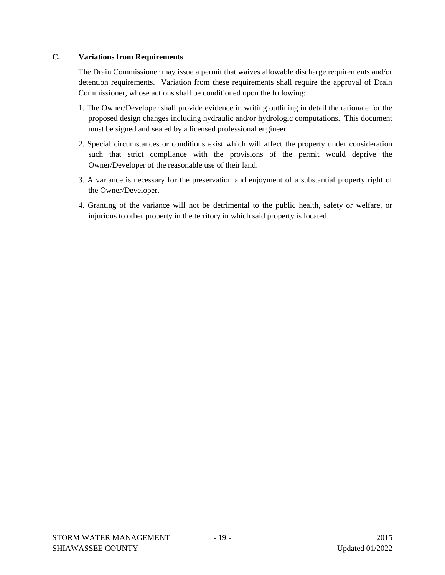#### **C. Variations from Requirements**

The Drain Commissioner may issue a permit that waives allowable discharge requirements and/or detention requirements. Variation from these requirements shall require the approval of Drain Commissioner, whose actions shall be conditioned upon the following:

- 1. The Owner/Developer shall provide evidence in writing outlining in detail the rationale for the proposed design changes including hydraulic and/or hydrologic computations. This document must be signed and sealed by a licensed professional engineer.
- 2. Special circumstances or conditions exist which will affect the property under consideration such that strict compliance with the provisions of the permit would deprive the Owner/Developer of the reasonable use of their land.
- 3. A variance is necessary for the preservation and enjoyment of a substantial property right of the Owner/Developer.
- 4. Granting of the variance will not be detrimental to the public health, safety or welfare, or injurious to other property in the territory in which said property is located.